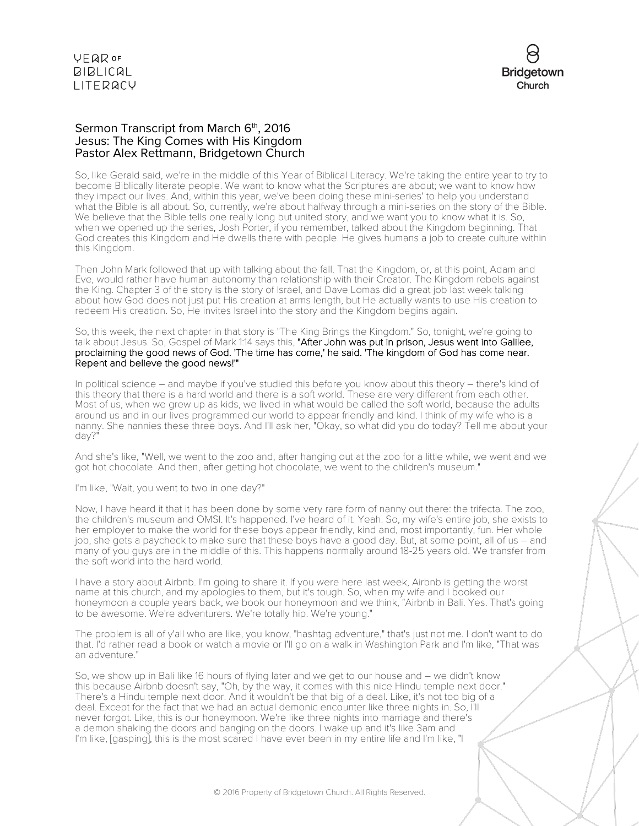**VFQR OF BIBLICAL** LITERACY



### Sermon Transcript from March 6<sup>th</sup>, 2016 Jesus: The King Comes with His Kingdom Pastor Alex Rettmann, Bridgetown Church

So, like Gerald said, we're in the middle of this Year of Biblical Literacy. We're taking the entire year to try to become Biblically literate people. We want to know what the Scriptures are about; we want to know how they impact our lives. And, within this year, we've been doing these mini-series' to help you understand what the Bible is all about. So, currently, we're about halfway through a mini-series on the story of the Bible. We believe that the Bible tells one really long but united story, and we want you to know what it is. So, when we opened up the series, Josh Porter, if you remember, talked about the Kingdom beginning. That God creates this Kingdom and He dwells there with people. He gives humans a job to create culture within this Kingdom.

Then John Mark followed that up with talking about the fall. That the Kingdom, or, at this point, Adam and Eve, would rather have human autonomy than relationship with their Creator. The Kingdom rebels against the King. Chapter 3 of the story is the story of Israel, and Dave Lomas did a great job last week talking about how God does not just put His creation at arms length, but He actually wants to use His creation to redeem His creation. So, He invites Israel into the story and the Kingdom begins again.

So, this week, the next chapter in that story is "The King Brings the Kingdom." So, tonight, we're going to talk about Jesus. So, Gospel of Mark 1:14 says this, "After John was put in prison, Jesus went into Galilee, proclaiming the good news of God. 'The time has come,' he said. 'The kingdom of God has come near. Repent and believe the good news!"

In political science – and maybe if you've studied this before you know about this theory – there's kind of this theory that there is a hard world and there is a soft world. These are very different from each other. Most of us, when we grew up as kids, we lived in what would be called the soft world, because the adults around us and in our lives programmed our world to appear friendly and kind. I think of my wife who is a nanny. She nannies these three boys. And I'll ask her, "Okay, so what did you do today? Tell me about your day?"

And she's like, "Well, we went to the zoo and, after hanging out at the zoo for a little while, we went and we got hot chocolate. And then, after getting hot chocolate, we went to the children's museum."

I'm like, "Wait, you went to two in one day?"

Now, I have heard it that it has been done by some very rare form of nanny out there: the trifecta. The zoo, the children's museum and OMSI. It's happened. I've heard of it. Yeah. So, my wife's entire job, she exists to her employer to make the world for these boys appear friendly, kind and, most importantly, fun. Her whole job, she gets a paycheck to make sure that these boys have a good day. But, at some point, all of us – and many of you guys are in the middle of this. This happens normally around 18-25 years old. We transfer from the soft world into the hard world.

I have a story about Airbnb. I'm going to share it. If you were here last week, Airbnb is getting the worst name at this church, and my apologies to them, but it's tough. So, when my wife and I booked our honeymoon a couple years back, we book our honeymoon and we think, "Airbnb in Bali. Yes. That's going to be awesome. We're adventurers. We're totally hip. We're young."

The problem is all of y'all who are like, you know, "hashtag adventure," that's just not me. I don't want to do that. I'd rather read a book or watch a movie or I'll go on a walk in Washington Park and I'm like, "That was an adventure."

So, we show up in Bali like 16 hours of flying later and we get to our house and – we didn't know this because Airbnb doesn't say, "Oh, by the way, it comes with this nice Hindu temple next door." There's a Hindu temple next door. And it wouldn't be that big of a deal. Like, it's not too big of a deal. Except for the fact that we had an actual demonic encounter like three nights in. So, I'll never forgot. Like, this is our honeymoon. We're like three nights into marriage and there's a demon shaking the doors and banging on the doors. I wake up and it's like 3am and I'm like, [gasping], this is the most scared I have ever been in my entire life and I'm like, "I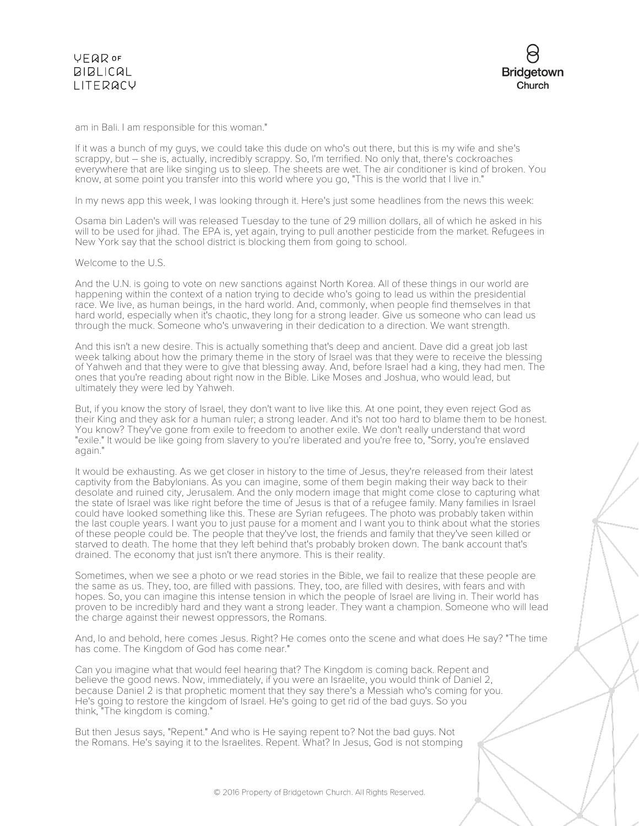am in Bali. I am responsible for this woman."

If it was a bunch of my guys, we could take this dude on who's out there, but this is my wife and she's scrappy, but – she is, actually, incredibly scrappy. So, I'm terrified. No only that, there's cockroaches everywhere that are like singing us to sleep. The sheets are wet. The air conditioner is kind of broken. You know, at some point you transfer into this world where you go, "This is the world that I live in."

In my news app this week, I was looking through it. Here's just some headlines from the news this week:

Osama bin Laden's will was released Tuesday to the tune of 29 million dollars, all of which he asked in his will to be used for jihad. The EPA is, yet again, trying to pull another pesticide from the market. Refugees in New York say that the school district is blocking them from going to school.

Welcome to the U.S.

And the U.N. is going to vote on new sanctions against North Korea. All of these things in our world are happening within the context of a nation trying to decide who's going to lead us within the presidential race. We live, as human beings, in the hard world. And, commonly, when people find themselves in that hard world, especially when it's chaotic, they long for a strong leader. Give us someone who can lead us through the muck. Someone who's unwavering in their dedication to a direction. We want strength.

And this isn't a new desire. This is actually something that's deep and ancient. Dave did a great job last week talking about how the primary theme in the story of Israel was that they were to receive the blessing of Yahweh and that they were to give that blessing away. And, before Israel had a king, they had men. The ones that you're reading about right now in the Bible. Like Moses and Joshua, who would lead, but ultimately they were led by Yahweh.

But, if you know the story of Israel, they don't want to live like this. At one point, they even reject God as their King and they ask for a human ruler; a strong leader. And it's not too hard to blame them to be honest. You know? They've gone from exile to freedom to another exile. We don't really understand that word "exile." It would be like going from slavery to you're liberated and you're free to, "Sorry, you're enslaved again."

It would be exhausting. As we get closer in history to the time of Jesus, they're released from their latest captivity from the Babylonians. As you can imagine, some of them begin making their way back to their desolate and ruined city, Jerusalem. And the only modern image that might come close to capturing what the state of Israel was like right before the time of Jesus is that of a refugee family. Many families in Israel could have looked something like this. These are Syrian refugees. The photo was probably taken within the last couple years. I want you to just pause for a moment and I want you to think about what the stories of these people could be. The people that they've lost, the friends and family that they've seen killed or starved to death. The home that they left behind that's probably broken down. The bank account that's drained. The economy that just isn't there anymore. This is their reality.

Sometimes, when we see a photo or we read stories in the Bible, we fail to realize that these people are the same as us. They, too, are filled with passions. They, too, are filled with desires, with fears and with hopes. So, you can imagine this intense tension in which the people of Israel are living in. Their world has proven to be incredibly hard and they want a strong leader. They want a champion. Someone who will lead the charge against their newest oppressors, the Romans.

And, lo and behold, here comes Jesus. Right? He comes onto the scene and what does He say? "The time has come. The Kingdom of God has come near."

Can you imagine what that would feel hearing that? The Kingdom is coming back. Repent and believe the good news. Now, immediately, if you were an Israelite, you would think of Daniel 2, because Daniel 2 is that prophetic moment that they say there's a Messiah who's coming for you. He's going to restore the kingdom of Israel. He's going to get rid of the bad guys. So you think, "The kingdom is coming."

But then Jesus says, "Repent." And who is He saying repent to? Not the bad guys. Not the Romans. He's saying it to the Israelites. Repent. What? In Jesus, God is not stomping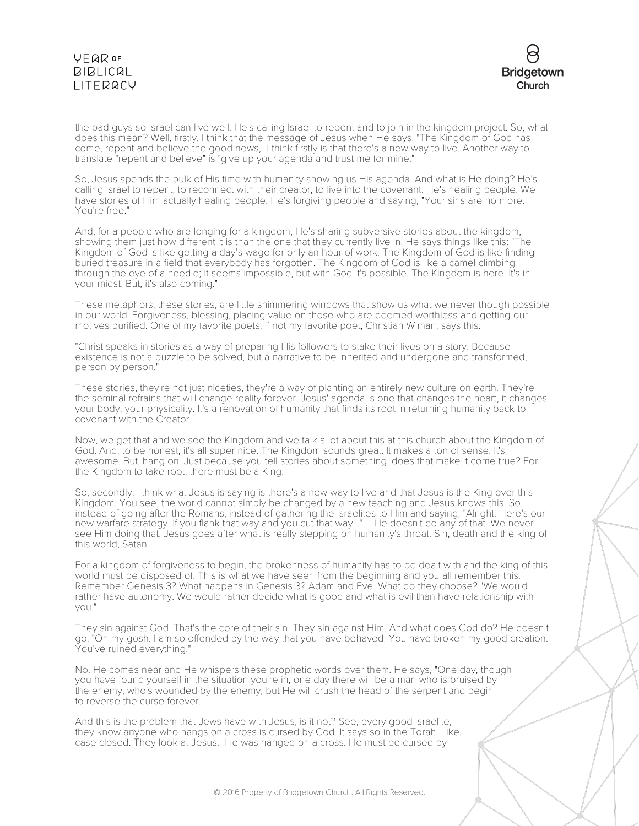## **VEQR OF BIBLICAL** LITERACY



the bad guys so Israel can live well. He's calling Israel to repent and to join in the kingdom project. So, what does this mean? Well, firstly, I think that the message of Jesus when He says, "The Kingdom of God has come, repent and believe the good news," I think firstly is that there's a new way to live. Another way to translate "repent and believe" is "give up your agenda and trust me for mine."

So, Jesus spends the bulk of His time with humanity showing us His agenda. And what is He doing? He's calling Israel to repent, to reconnect with their creator, to live into the covenant. He's healing people. We have stories of Him actually healing people. He's forgiving people and saying, "Your sins are no more. You're free."

And, for a people who are longing for a kingdom, He's sharing subversive stories about the kingdom, showing them just how different it is than the one that they currently live in. He says things like this: "The Kingdom of God is like getting a day's wage for only an hour of work. The Kingdom of God is like finding buried treasure in a field that everybody has forgotten. The Kingdom of God is like a camel climbing through the eye of a needle; it seems impossible, but with God it's possible. The Kingdom is here. It's in your midst. But, it's also coming."

These metaphors, these stories, are little shimmering windows that show us what we never though possible in our world. Forgiveness, blessing, placing value on those who are deemed worthless and getting our motives purified. One of my favorite poets, if not my favorite poet, Christian Wiman, says this:

"Christ speaks in stories as a way of preparing His followers to stake their lives on a story. Because existence is not a puzzle to be solved, but a narrative to be inherited and undergone and transformed, person by person."

These stories, they're not just niceties, they're a way of planting an entirely new culture on earth. They're the seminal refrains that will change reality forever. Jesus' agenda is one that changes the heart, it changes your body, your physicality. It's a renovation of humanity that finds its root in returning humanity back to covenant with the Creator.

Now, we get that and we see the Kingdom and we talk a lot about this at this church about the Kingdom of God. And, to be honest, it's all super nice. The Kingdom sounds great. It makes a ton of sense. It's awesome. But, hang on. Just because you tell stories about something, does that make it come true? For the Kingdom to take root, there must be a King.

So, secondly, I think what Jesus is saying is there's a new way to live and that Jesus is the King over this Kingdom. You see, the world cannot simply be changed by a new teaching and Jesus knows this. So, instead of going after the Romans, instead of gathering the Israelites to Him and saying, "Alright. Here's our new warfare strategy. If you flank that way and you cut that way..." – He doesn't do any of that. We never see Him doing that. Jesus goes after what is really stepping on humanity's throat. Sin, death and the king of this world, Satan.

For a kingdom of forgiveness to begin, the brokenness of humanity has to be dealt with and the king of this world must be disposed of. This is what we have seen from the beginning and you all remember this. Remember Genesis 3? What happens in Genesis 3? Adam and Eve. What do they choose? "We would rather have autonomy. We would rather decide what is good and what is evil than have relationship with you."

They sin against God. That's the core of their sin. They sin against Him. And what does God do? He doesn't go, "Oh my gosh. I am so offended by the way that you have behaved. You have broken my good creation. You've ruined everything."

No. He comes near and He whispers these prophetic words over them. He says, "One day, though you have found yourself in the situation you're in, one day there will be a man who is bruised by the enemy, who's wounded by the enemy, but He will crush the head of the serpent and begin to reverse the curse forever."

And this is the problem that Jews have with Jesus, is it not? See, every good Israelite, they know anyone who hangs on a cross is cursed by God. It says so in the Torah. Like, case closed. They look at Jesus. "He was hanged on a cross. He must be cursed by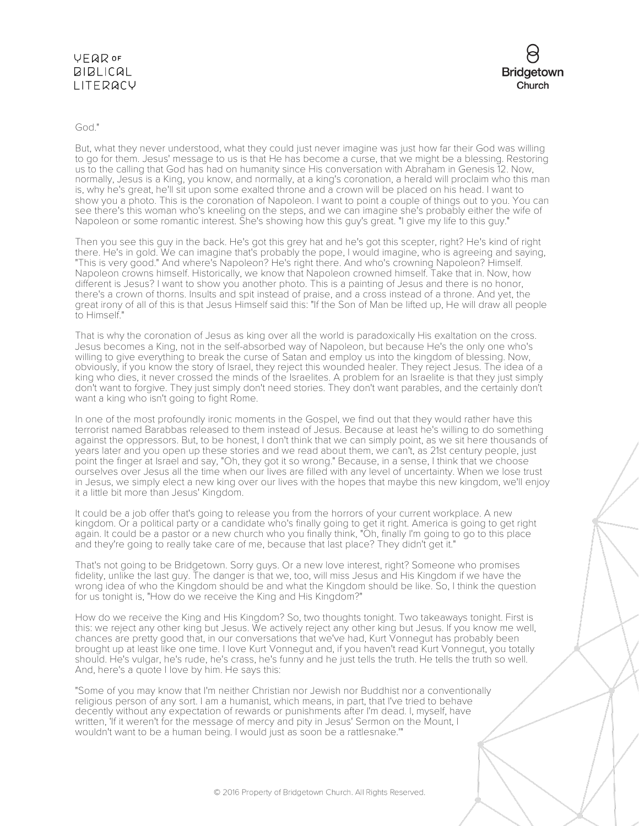## **VEQR OF BIBLICAL** LITERACY



God."

But, what they never understood, what they could just never imagine was just how far their God was willing to go for them. Jesus' message to us is that He has become a curse, that we might be a blessing. Restoring us to the calling that God has had on humanity since His conversation with Abraham in Genesis 12. Now, normally, Jesus is a King, you know, and normally, at a king's coronation, a herald will proclaim who this man is, why he's great, he'll sit upon some exalted throne and a crown will be placed on his head. I want to show you a photo. This is the coronation of Napoleon. I want to point a couple of things out to you. You can see there's this woman who's kneeling on the steps, and we can imagine she's probably either the wife of Napoleon or some romantic interest. She's showing how this guy's great. "I give my life to this guy."

Then you see this guy in the back. He's got this grey hat and he's got this scepter, right? He's kind of right there. He's in gold. We can imagine that's probably the pope, I would imagine, who is agreeing and saying, "This is very good." And where's Napoleon? He's right there. And who's crowning Napoleon? Himself. Napoleon crowns himself. Historically, we know that Napoleon crowned himself. Take that in. Now, how different is Jesus? I want to show you another photo. This is a painting of Jesus and there is no honor, there's a crown of thorns. Insults and spit instead of praise, and a cross instead of a throne. And yet, the great irony of all of this is that Jesus Himself said this: "If the Son of Man be lifted up, He will draw all people to Himself."

That is why the coronation of Jesus as king over all the world is paradoxically His exaltation on the cross. Jesus becomes a King, not in the self-absorbed way of Napoleon, but because He's the only one who's willing to give everything to break the curse of Satan and employ us into the kingdom of blessing. Now, obviously, if you know the story of Israel, they reject this wounded healer. They reject Jesus. The idea of a king who dies, it never crossed the minds of the Israelites. A problem for an Israelite is that they just simply don't want to forgive. They just simply don't need stories. They don't want parables, and the certainly don't want a king who isn't going to fight Rome.

In one of the most profoundly ironic moments in the Gospel, we find out that they would rather have this terrorist named Barabbas released to them instead of Jesus. Because at least he's willing to do something against the oppressors. But, to be honest, I don't think that we can simply point, as we sit here thousands of years later and you open up these stories and we read about them, we can't, as 21st century people, just point the finger at Israel and say, "Oh, they got it so wrong." Because, in a sense, I think that we choose ourselves over Jesus all the time when our lives are filled with any level of uncertainty. When we lose trust in Jesus, we simply elect a new king over our lives with the hopes that maybe this new kingdom, we'll enjoy it a little bit more than Jesus' Kingdom.

It could be a job offer that's going to release you from the horrors of your current workplace. A new kingdom. Or a political party or a candidate who's finally going to get it right. America is going to get right again. It could be a pastor or a new church who you finally think, "Oh, finally I'm going to go to this place and they're going to really take care of me, because that last place? They didn't get it."

That's not going to be Bridgetown. Sorry guys. Or a new love interest, right? Someone who promises fidelity, unlike the last guy. The danger is that we, too, will miss Jesus and His Kingdom if we have the wrong idea of who the Kingdom should be and what the Kingdom should be like. So, I think the question for us tonight is, "How do we receive the King and His Kingdom?"

How do we receive the King and His Kingdom? So, two thoughts tonight. Two takeaways tonight. First is this: we reject any other king but Jesus. We actively reject any other king but Jesus. If you know me well, chances are pretty good that, in our conversations that we've had, Kurt Vonnegut has probably been brought up at least like one time. I love Kurt Vonnegut and, if you haven't read Kurt Vonnegut, you totally should. He's vulgar, he's rude, he's crass, he's funny and he just tells the truth. He tells the truth so well. And, here's a quote I love by him. He says this:

"Some of you may know that I'm neither Christian nor Jewish nor Buddhist nor a conventionally religious person of any sort. I am a humanist, which means, in part, that I've tried to behave decently without any expectation of rewards or punishments after I'm dead. I, myself, have written, 'If it weren't for the message of mercy and pity in Jesus' Sermon on the Mount, I wouldn't want to be a human being. I would just as soon be a rattlesnake.'"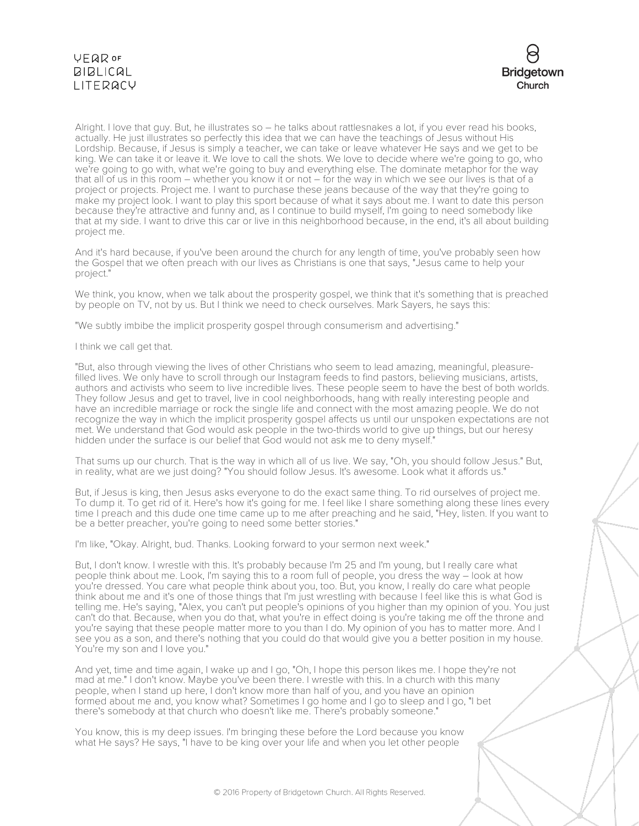# VEQROF  $BIBLICAL$ LITERACY



Alright. I love that guy. But, he illustrates so – he talks about rattlesnakes a lot, if you ever read his books, actually. He just illustrates so perfectly this idea that we can have the teachings of Jesus without His Lordship. Because, if Jesus is simply a teacher, we can take or leave whatever He says and we get to be king. We can take it or leave it. We love to call the shots. We love to decide where we're going to go, who we're going to go with, what we're going to buy and everything else. The dominate metaphor for the way that all of us in this room – whether you know it or not – for the way in which we see our lives is that of a project or projects. Project me. I want to purchase these jeans because of the way that they're going to make my project look. I want to play this sport because of what it says about me. I want to date this person because they're attractive and funny and, as I continue to build myself, I'm going to need somebody like that at my side. I want to drive this car or live in this neighborhood because, in the end, it's all about building project me.

And it's hard because, if you've been around the church for any length of time, you've probably seen how the Gospel that we often preach with our lives as Christians is one that says, "Jesus came to help your project."

We think, you know, when we talk about the prosperity gospel, we think that it's something that is preached by people on TV, not by us. But I think we need to check ourselves. Mark Sayers, he says this:

"We subtly imbibe the implicit prosperity gospel through consumerism and advertising."

I think we call get that.

"But, also through viewing the lives of other Christians who seem to lead amazing, meaningful, pleasurefilled lives. We only have to scroll through our Instagram feeds to find pastors, believing musicians, artists, authors and activists who seem to live incredible lives. These people seem to have the best of both worlds. They follow Jesus and get to travel, live in cool neighborhoods, hang with really interesting people and have an incredible marriage or rock the single life and connect with the most amazing people. We do not recognize the way in which the implicit prosperity gospel affects us until our unspoken expectations are not met. We understand that God would ask people in the two-thirds world to give up things, but our heresy hidden under the surface is our belief that God would not ask me to deny myself."

That sums up our church. That is the way in which all of us live. We say, "Oh, you should follow Jesus." But, in reality, what are we just doing? "You should follow Jesus. It's awesome. Look what it affords us."

But, if Jesus is king, then Jesus asks everyone to do the exact same thing. To rid ourselves of project me. To dump it. To get rid of it. Here's how it's going for me. I feel like I share something along these lines every time I preach and this dude one time came up to me after preaching and he said, "Hey, listen. If you want to be a better preacher, you're going to need some better stories."

I'm like, "Okay. Alright, bud. Thanks. Looking forward to your sermon next week."

But, I don't know. I wrestle with this. It's probably because I'm 25 and I'm young, but I really care what people think about me. Look, I'm saying this to a room full of people, you dress the way – look at how you're dressed. You care what people think about you, too. But, you know, I really do care what people think about me and it's one of those things that I'm just wrestling with because I feel like this is what God is telling me. He's saying, "Alex, you can't put people's opinions of you higher than my opinion of you. You just can't do that. Because, when you do that, what you're in effect doing is you're taking me off the throne and you're saying that these people matter more to you than I do. My opinion of you has to matter more. And I see you as a son, and there's nothing that you could do that would give you a better position in my house. You're my son and I love you."

And yet, time and time again, I wake up and I go, "Oh, I hope this person likes me. I hope they're not mad at me." I don't know. Maybe you've been there. I wrestle with this. In a church with this many people, when I stand up here, I don't know more than half of you, and you have an opinion formed about me and, you know what? Sometimes I go home and I go to sleep and I go, "I bet there's somebody at that church who doesn't like me. There's probably someone."

You know, this is my deep issues. I'm bringing these before the Lord because you know what He says? He says, "I have to be king over your life and when you let other people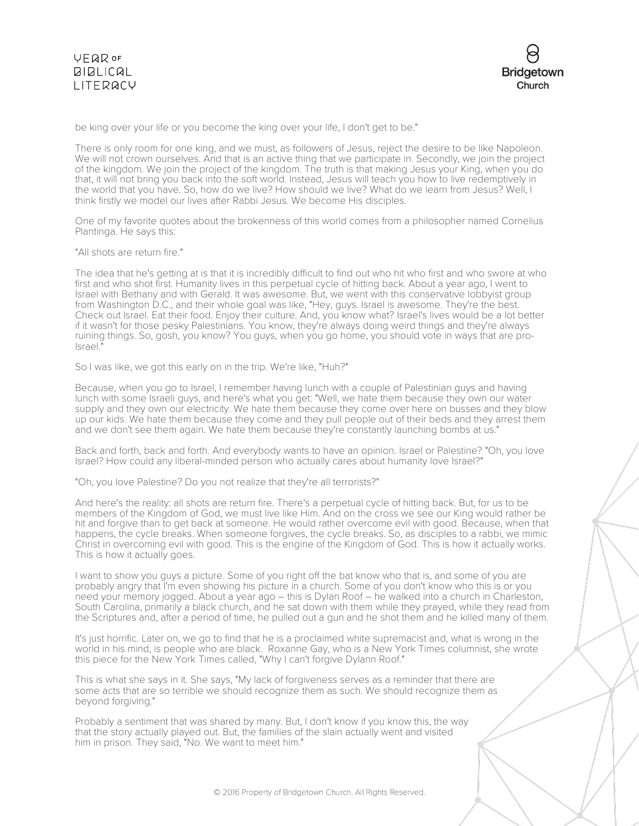

be king over your life or you become the king over your life, I don't get to be."

There is only room for one king, and we must, as followers of Jesus, reject the desire to be like Napoleon. We will not crown ourselves. And that is an active thing that we participate in. Secondly, we join the project of the kingdom. We join the project of the kingdom. The truth is that making Jesus your King, when you do that, it will not bring you back into the soft world. Instead, Jesus will teach you how to live redemptively in the world that you have. So, how do we live? How should we live? What do we learn from Jesus? Well, I think firstly we model our lives after Rabbi Jesus. We become His disciples.

One of my favorite quotes about the brokenness of this world comes from a philosopher named Cornelius Plantinga. He says this:

"All shots are return fire."

The idea that he's getting at is that it is incredibly difficult to find out who hit who first and who swore at who first and who shot first. Humanity lives in this perpetual cycle of hitting back. About a year ago, I went to Israel with Bethany and with Gerald. It was awesome. But, we went with this conservative lobbyist group from Washington D.C., and their whole goal was like, "Hey, guys. Israel is awesome. They're the best. Check out Israel. Eat their food. Enjoy their culture. And, you know what? Israel's lives would be a lot better if it wasn't for those pesky Palestinians. You know, they're always doing weird things and they're always ruining things. So, gosh, you know? You guys, when you go home, you should vote in ways that are pro-Israel."

So I was like, we got this early on in the trip. We're like, "Huh?"

Because, when you go to Israel, I remember having lunch with a couple of Palestinian guys and having lunch with some Israeli guys, and here's what you get: "Well, we hate them because they own our water supply and they own our electricity. We hate them because they come over here on busses and they blow up our kids. We hate them because they come and they pull people out of their beds and they arrest them and we don't see them again. We hate them because they're constantly launching bombs at us."

Back and forth, back and forth. And everybody wants to have an opinion. Israel or Palestine? "Oh, you love Israel? How could any liberal-minded person who actually cares about humanity love Israel?"

"Oh, you love Palestine? Do you not realize that they're all terrorists?"

And here's the reality: all shots are return fire. There's a perpetual cycle of hitting back. But, for us to be members of the Kingdom of God, we must live like Him. And on the cross we see our King would rather be hit and forgive than to get back at someone. He would rather overcome evil with good. Because, when that happens, the cycle breaks. When someone forgives, the cycle breaks. So, as disciples to a rabbi, we mimic Christ in overcoming evil with good. This is the engine of the Kingdom of God. This is how it actually works. This is how it actually goes.

I want to show you guys a picture. Some of you right off the bat know who that is, and some of you are probably angry that I'm even showing his picture in a church. Some of you don't know who this is or you need your memory jogged. About a year ago – this is Dylan Roof – he walked into a church in Charleston, South Carolina, primarily a black church, and he sat down with them while they prayed, while they read from the Scriptures and, after a period of time, he pulled out a gun and he shot them and he killed many of them.

It's just horrific. Later on, we go to find that he is a proclaimed white supremacist and, what is wrong in the world in his mind, is people who are black. Roxanne Gay, who is a New York Times columnist, she wrote this piece for the New York Times called, "Why I can't forgive Dylann Roof."

This is what she says in it. She says, "My lack of forgiveness serves as a reminder that there are some acts that are so terrible we should recognize them as such. We should recognize them as beyond forgiving."

Probably a sentiment that was shared by many. But, I don't know if you know this, the way that the story actually played out. But, the families of the slain actually went and visited him in prison. They said, "No. We want to meet him."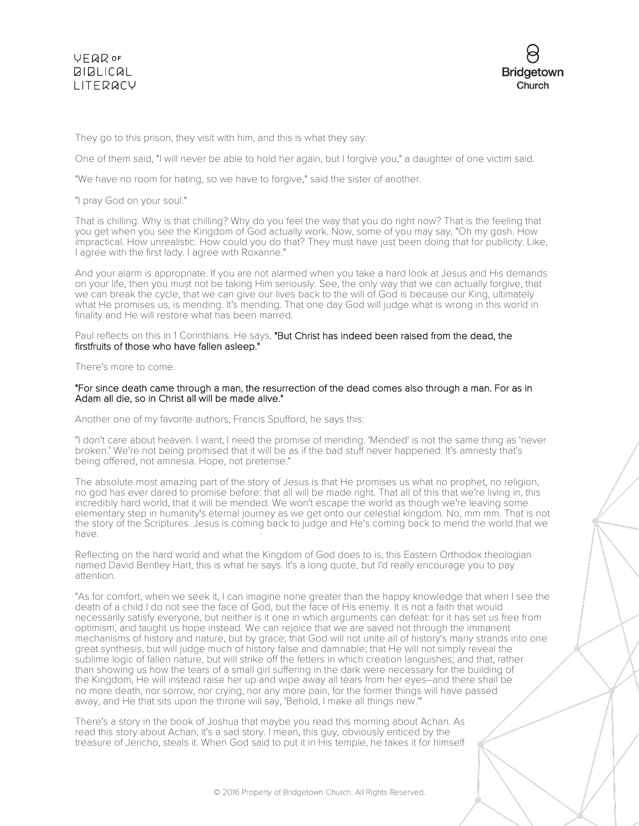## **VFQR OF BIBLICAL** LITERACY



They go to this prison, they visit with him, and this is what they say:

One of them said, "I will never be able to hold her again, but I forgive you," a daughter of one victim said.

"We have no room for hating, so we have to forgive," said the sister of another.

"I pray God on your soul."

That is chilling. Why is that chilling? Why do you feel the way that you do right now? That is the feeling that you get when you see the Kingdom of God actually work. Now, some of you may say, "Oh my gosh. How impractical. How unrealistic. How could you do that? They must have just been doing that for publicity. Like, I agree with the first lady. I agree with Roxanne."

And your alarm is appropriate. If you are not alarmed when you take a hard look at Jesus and His demands on your life, then you must not be taking Him seriously. See, the only way that we can actually forgive, that we can break the cycle, that we can give our lives back to the will of God is because our King, ultimately what He promises us, is mending. It's mending. That one day God will judge what is wrong in this world in finality and He will restore what has been marred.

#### Paul reflects on this in 1 Corinthians. He says, "But Christ has indeed been raised from the dead, the firstfruits of those who have fallen asleep."

There's more to come.

#### "For since death came through a man, the resurrection of the dead comes also through a man. For as in Adam all die, so in Christ all will be made alive."

Another one of my favorite authors, Francis Spufford, he says this:

"I don't care about heaven. I want, I need the promise of mending. 'Mended' is not the same thing as 'never broken.' We're not being promised that it will be as if the bad stuff never happened. It's amnesty that's being offered, not amnesia. Hope, not pretense."

The absolute most amazing part of the story of Jesus is that He promises us what no prophet, no religion, no god has ever dared to promise before: that all will be made right. That all of this that we're living in, this incredibly hard world, that it will be mended. We won't escape the world as though we're leaving some elementary step in humanity's eternal journey as we get onto our celestial kingdom. No, mm mm. That is not the story of the Scriptures. Jesus is coming back to judge and He's coming back to mend the world that we have.

Reflecting on the hard world and what the Kingdom of God does to is, this Eastern Orthodox theologian named David Bentley Hart, this is what he says. It's a long quote, but I'd really encourage you to pay attention.

"As for comfort, when we seek it, I can imagine none greater than the happy knowledge that when I see the death of a child I do not see the face of God, but the face of His enemy. It is not a faith that would necessarily satisfy everyone, but neither is it one in which arguments can defeat: for it has set us free from optimism, and taught us hope instead. We can rejoice that we are saved not through the immanent mechanisms of history and nature, but by grace; that God will not unite all of history's many strands into one great synthesis, but will judge much of history false and damnable; that He will not simply reveal the sublime logic of fallen nature, but will strike off the fetters in which creation languishes; and that, rather than showing us how the tears of a small girl suffering in the dark were necessary for the building of the Kingdom, He will instead raise her up and wipe away all tears from her eyes–and there shall be no more death, nor sorrow, nor crying, nor any more pain, for the former things will have passed away, and He that sits upon the throne will say, 'Behold, I make all things new.'"

There's a story in the book of Joshua that maybe you read this morning about Achan. As read this story about Achan, it's a sad story. I mean, this guy, obviously enticed by the treasure of Jericho, steals it. When God said to put it in His temple, he takes it for himself